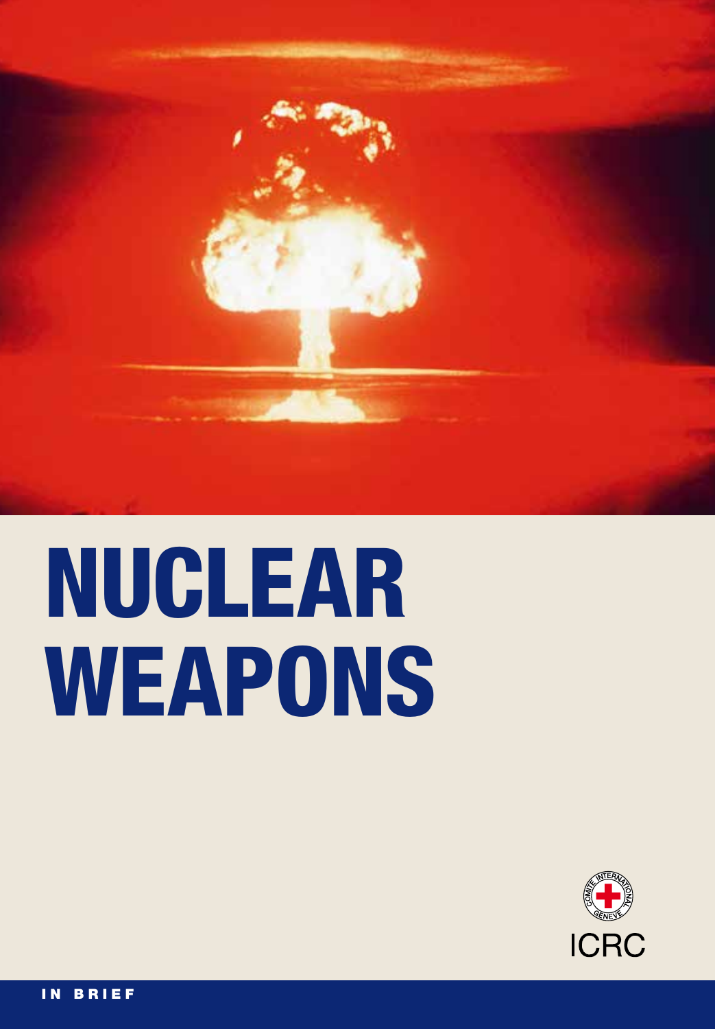

# NUCLEAR WEAPONS

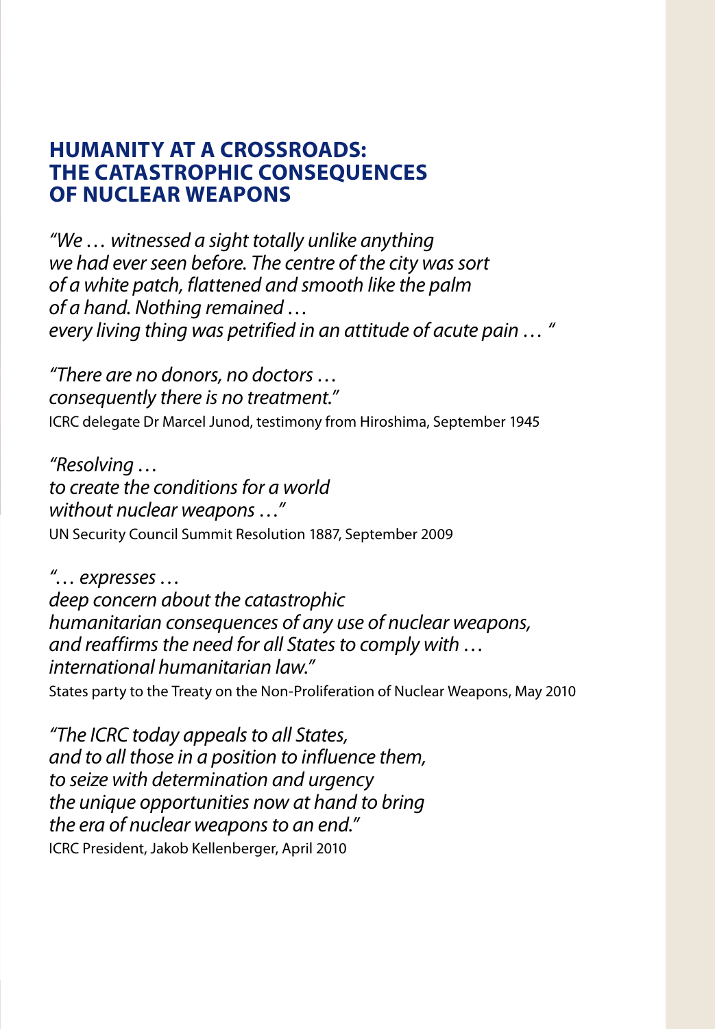#### **Humanity at a crossroads: tHe catastropHic consequences of nuclear weapons**

*"We … witnessed a sight totally unlike anything we had ever seen before. The centre of the city was sort of a white patch, flattened and smooth like the palm of a hand. Nothing remained … every living thing was petrified in an attitude of acute pain … "*

*"There are no donors, no doctors … consequently there is no treatment."* ICRC delegate Dr Marcel Junod, testimony from Hiroshima, September 1945

*"Resolving … to create the conditions for a world without nuclear weapons …"* UN Security Council Summit Resolution 1887, September 2009

*"… expresses … deep concern about the catastrophic humanitarian consequences of any use of nuclear weapons, and reaffirms the need for all States to comply with … international humanitarian law."*

States party to the Treaty on the Non-Proliferation of Nuclear Weapons, May 2010

*"The ICRC today appeals to all States, and to all those in a position to influence them, to seize with determination and urgency the unique opportunities now at hand to bring the era of nuclear weapons to an end."* ICRC President, Jakob Kellenberger, April 2010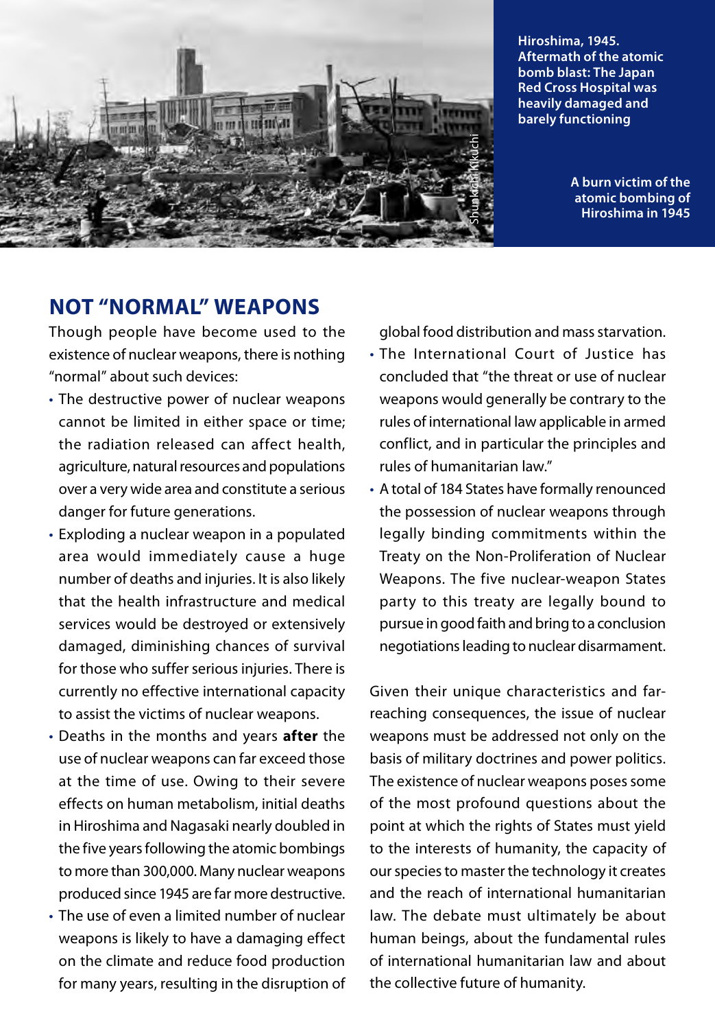

**Hiroshima, 1945. Aftermath of the atomic bomb blast: The Japan Red Cross Hospital was heavily damaged and barely functioning**

> **A burn victim of the atomic bombing of Hiroshima in 1945**

#### **not "normal" weapons**

Though people have become used to the existence of nuclear weapons, there is nothing "normal" about such devices:

- The destructive power of nuclear weapons cannot be limited in either space or time; the radiation released can affect health, agriculture, natural resources and populations over a very wide area and constitute a serious danger for future generations.
- Exploding a nuclear weapon in a populated area would immediately cause a huge number of deaths and injuries. It is also likely that the health infrastructure and medical services would be destroyed or extensively damaged, diminishing chances of survival for those who suffer serious injuries. There is currently no effective international capacity to assist the victims of nuclear weapons.
- • Deaths in the months and years **after** the use of nuclear weapons can far exceed those at the time of use. Owing to their severe effects on human metabolism, initial deaths in Hiroshima and Nagasaki nearly doubled in the five years following the atomic bombings to more than 300,000. Many nuclear weapons produced since 1945 are far more destructive.
- The use of even a limited number of nuclear weapons is likely to have a damaging effect on the climate and reduce food production for many years, resulting in the disruption of

global food distribution and mass starvation.

- The International Court of Justice has concluded that "the threat or use of nuclear weapons would generally be contrary to the rules of international law applicable in armed conflict, and in particular the principles and rules of humanitarian law."
- • A total of 184 States have formally renounced the possession of nuclear weapons through legally binding commitments within the Treaty on the Non-Proliferation of Nuclear Weapons. The five nuclear-weapon States party to this treaty are legally bound to pursue in good faith and bring to a conclusion negotiations leading to nuclear disarmament.

Given their unique characteristics and farreaching consequences, the issue of nuclear weapons must be addressed not only on the basis of military doctrines and power politics. The existence of nuclear weapons poses some of the most profound questions about the point at which the rights of States must yield to the interests of humanity, the capacity of our species to master the technology it creates and the reach of international humanitarian law. The debate must ultimately be about human beings, about the fundamental rules of international humanitarian law and about the collective future of humanity.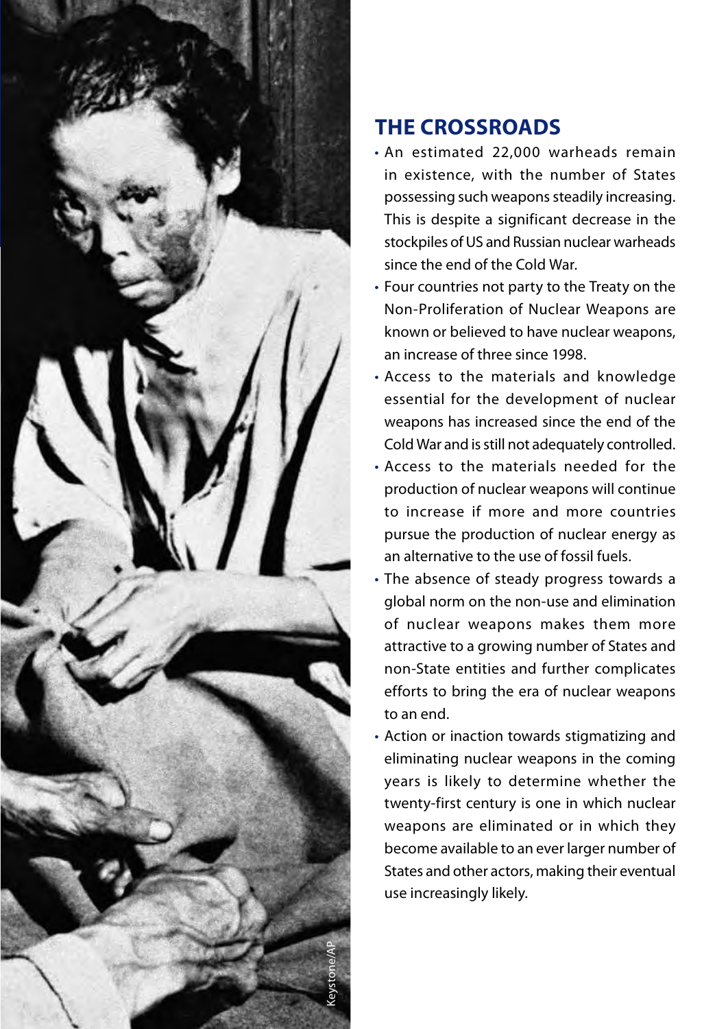

## **tHe crossroads**

- • An estimated 22,000 warheads remain in existence, with the number of States possessing such weapons steadily increasing. This is despite a significant decrease in the stockpiles of US and Russian nuclear warheads since the end of the Cold War.
- • Four countries not party to the Treaty on the Non-Proliferation of Nuclear Weapons are known or believed to have nuclear weapons, an increase of three since 1998.
- • Access to the materials and knowledge essential for the development of nuclear weapons has increased since the end of the Cold War and is still not adequately controlled.
- • Access to the materials needed for the production of nuclear weapons will continue to increase if more and more countries pursue the production of nuclear energy as an alternative to the use of fossil fuels.
- The absence of steady progress towards a global norm on the non-use and elimination of nuclear weapons makes them more attractive to a growing number of States and non-State entities and further complicates efforts to bring the era of nuclear weapons to an end.
- Action or inaction towards stigmatizing and eliminating nuclear weapons in the coming years is likely to determine whether the twenty-first century is one in which nuclear weapons are eliminated or in which they become available to an ever larger number of States and other actors, making their eventual use increasingly likely.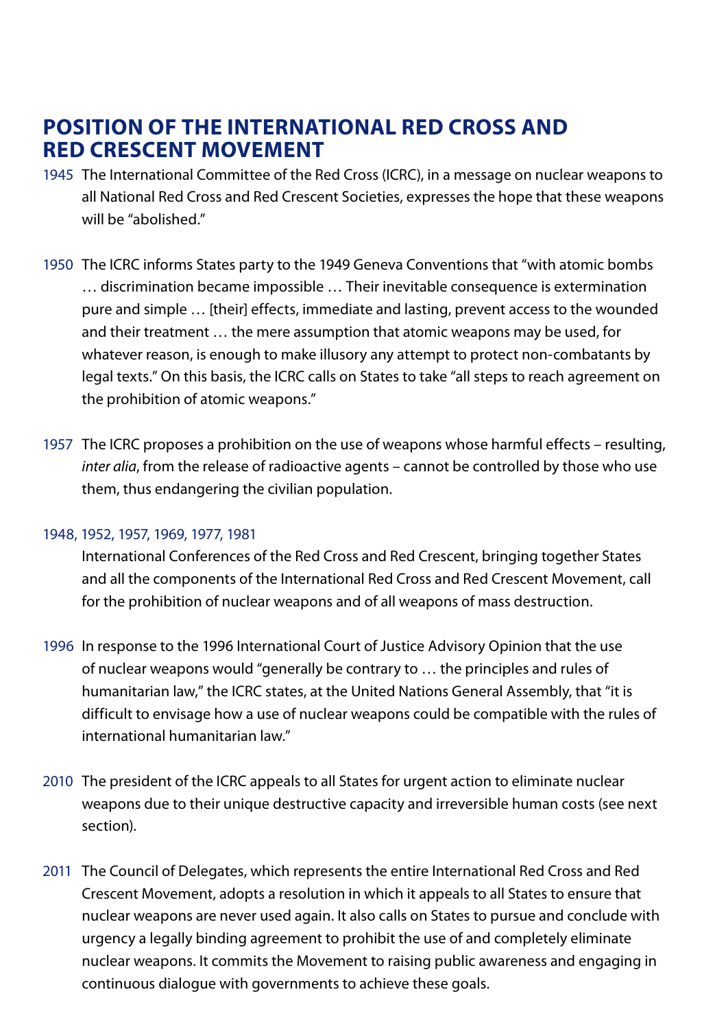#### **position of tHe international red cross and red crescent movement**

- 1945 The International Committee of the Red Cross (ICRC), in a message on nuclear weapons to all National Red Cross and Red Crescent Societies, expresses the hope that these weapons will be "abolished."
- 1950 The ICRC informs States party to the 1949 Geneva Conventions that "with atomic bombs … discrimination became impossible … Their inevitable consequence is extermination pure and simple … [their] effects, immediate and lasting, prevent access to the wounded and their treatment … the mere assumption that atomic weapons may be used, for whatever reason, is enough to make illusory any attempt to protect non-combatants by legal texts." On this basis, the ICRC calls on States to take "all steps to reach agreement on the prohibition of atomic weapons."
- 1957 The ICRC proposes a prohibition on the use of weapons whose harmful effects resulting, *inter alia*, from the release of radioactive agents – cannot be controlled by those who use them, thus endangering the civilian population.

#### 1948, 1952, 1957, 1969, 1977, 1981

 International Conferences of the Red Cross and Red Crescent, bringing together States and all the components of the International Red Cross and Red Crescent Movement, call for the prohibition of nuclear weapons and of all weapons of mass destruction.

- 1996 In response to the 1996 International Court of Justice Advisory Opinion that the use of nuclear weapons would "generally be contrary to … the principles and rules of humanitarian law," the ICRC states, at the United Nations General Assembly, that "it is difficult to envisage how a use of nuclear weapons could be compatible with the rules of international humanitarian law."
- 2010 The president of the ICRC appeals to all States for urgent action to eliminate nuclear weapons due to their unique destructive capacity and irreversible human costs (see next section).
- 2011 The Council of Delegates, which represents the entire International Red Cross and Red Crescent Movement, adopts a resolution in which it appeals to all States to ensure that nuclear weapons are never used again. It also calls on States to pursue and conclude with urgency a legally binding agreement to prohibit the use of and completely eliminate nuclear weapons. It commits the Movement to raising public awareness and engaging in continuous dialogue with governments to achieve these goals.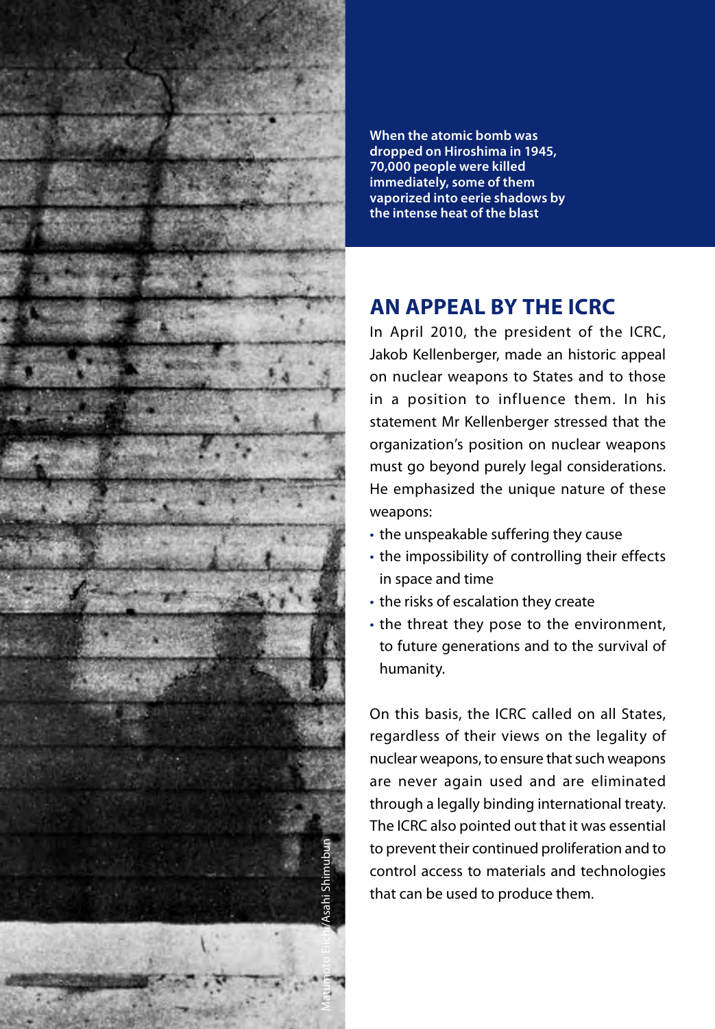

**When the atomic bomb was dropped on Hiroshima in 1945, 70,000 people were killed immediately, some of them vaporized into eerie shadows by the intense heat of the blast**

### **an appeal by tHe icrc**

In April 2010, the president of the ICRC, Jakob Kellenberger, made an historic appeal on nuclear weapons to States and to those in a position to influence them. In his statement Mr Kellenberger stressed that the organization's position on nuclear weapons must go beyond purely legal considerations. He emphasized the unique nature of these weapons:

- the unspeakable suffering they cause
- the impossibility of controlling their effects in space and time
- the risks of escalation they create
- the threat they pose to the environment, to future generations and to the survival of humanity.

On this basis, the ICRC called on all States, regardless of their views on the legality of nuclear weapons, to ensure that such weapons are never again used and are eliminated through a legally binding international treaty. The ICRC also pointed out that it was essential to prevent their continued proliferation and to control access to materials and technologies that can be used to produce them.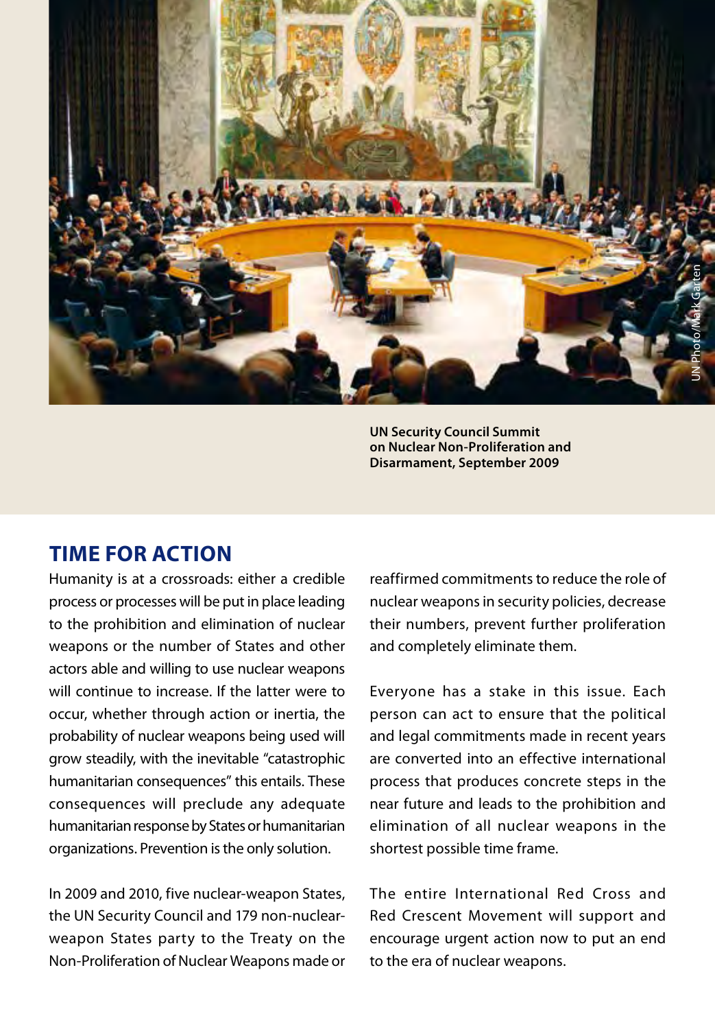

**UN Security Council Summit on Nuclear Non-Proliferation and Disarmament, September 2009**

#### **time for action**

Humanity is at a crossroads: either a credible process or processes will be put in place leading to the prohibition and elimination of nuclear weapons or the number of States and other actors able and willing to use nuclear weapons will continue to increase. If the latter were to occur, whether through action or inertia, the probability of nuclear weapons being used will grow steadily, with the inevitable "catastrophic humanitarian consequences" this entails. These consequences will preclude any adequate humanitarian response by States or humanitarian organizations. Prevention is the only solution.

In 2009 and 2010, five nuclear-weapon States, the UN Security Council and 179 non-nuclearweapon States party to the Treaty on the Non-Proliferation of Nuclear Weapons made or reaffirmed commitments to reduce the role of nuclear weapons in security policies, decrease their numbers, prevent further proliferation and completely eliminate them.

Everyone has a stake in this issue. Each person can act to ensure that the political and legal commitments made in recent years are converted into an effective international process that produces concrete steps in the near future and leads to the prohibition and elimination of all nuclear weapons in the shortest possible time frame.

The entire International Red Cross and Red Crescent Movement will support and encourage urgent action now to put an end to the era of nuclear weapons.